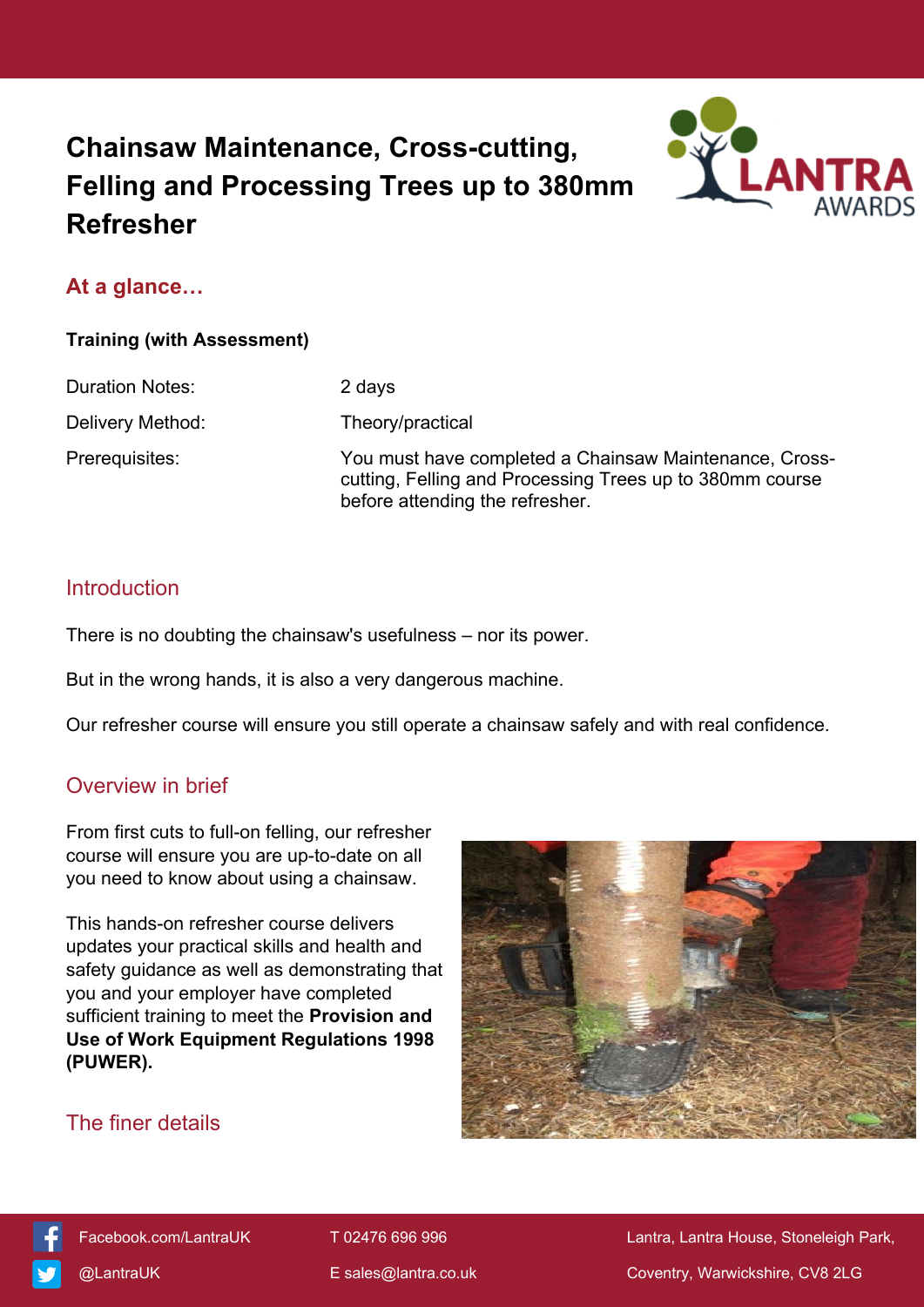# **Chainsaw Maintenance, Cross-cutting, Felling and Processing Trees up to 380mm Refresher**



# **At a glance…**

#### **Training (with Assessment)**

Duration Notes: 2 days

Delivery Method: Theory/practical

Prerequisites: You must have completed a Chainsaw Maintenance, Crosscutting, Felling and Processing Trees up to 380mm course before attending the refresher.

## Introduction

There is no doubting the chainsaw's usefulness – nor its power.

But in the wrong hands, it is also a very dangerous machine.

Our refresher course will ensure you still operate a chainsaw safely and with real confidence.

## Overview in brief

From first cuts to full-on felling, our refresher course will ensure you are up-to-date on all you need to know about using a chainsaw.

This hands-on refresher course delivers updates your practical skills and health and safety guidance as well as demonstrating that you and your employer have completed sufficient training to meet the **Provision and Use of Work Equipment Regulations 1998 (PUWER).**



# The finer details

[Facebook.com/LantraUK](https://www.facebook.com/LantraUK/) T 02476 696 996 Lantra, Lantra, Lantra House, Stoneleigh Park, [@LantraUK](http://www.twitter.com/lantrauk) E [sales@lantra.co.uk](mailto:sales@lantra.co.uk) Coventry, Warwickshire, CV8 2LG